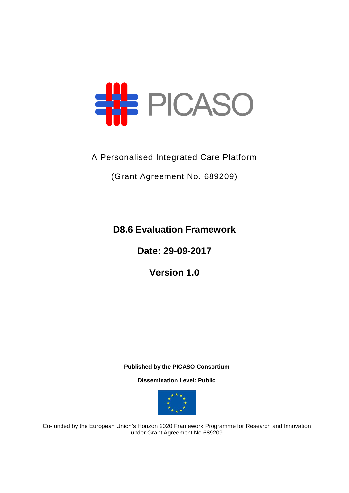

## A Personalised Integrated Care Platform

(Grant Agreement No. 689209)

**D8.6 Evaluation Framework**

**Date: 29-09-2017**

**Version 1.0**

**Published by the PICASO Consortium** 

**Dissemination Level: Public**



Co-funded by the European Union's Horizon 2020 Framework Programme for Research and Innovation under Grant Agreement No 689209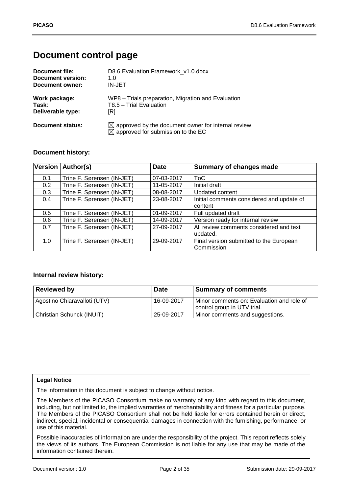## **Document control page**

| Document file:           | D8.6 Evaluation Framework v1.0.docx                                                                             |
|--------------------------|-----------------------------------------------------------------------------------------------------------------|
| <b>Document version:</b> | 1.0                                                                                                             |
| Document owner:          | <b>IN-JET</b>                                                                                                   |
| Work package:            | WP8 - Trials preparation, Migration and Evaluation                                                              |
| Task:                    | T8.5 - Trial Evaluation                                                                                         |
| Deliverable type:        | [R]                                                                                                             |
| Document status:         | $\boxtimes$ approved by the document owner for internal review<br>$\boxtimes$ approved for submission to the EC |

#### **Document history:**

|     | Version   Author(s)        | <b>Date</b> | <b>Summary of changes made</b>            |
|-----|----------------------------|-------------|-------------------------------------------|
| 0.1 | Trine F. Sørensen (IN-JET) | 07-03-2017  | ToC                                       |
| 0.2 | Trine F. Sørensen (IN-JET) | 11-05-2017  | Initial draft                             |
| 0.3 | Trine F. Sørensen (IN-JET) | 08-08-2017  | <b>Updated content</b>                    |
| 0.4 | Trine F. Sørensen (IN-JET) | 23-08-2017  | Initial comments considered and update of |
|     |                            |             | content                                   |
| 0.5 | Trine F. Sørensen (IN-JET) | 01-09-2017  | Full updated draft                        |
| 0.6 | Trine F. Sørensen (IN-JET) | 14-09-2017  | Version ready for internal review         |
| 0.7 | Trine F. Sørensen (IN-JET) | 27-09-2017  | All review comments considered and text   |
|     |                            |             | updated.                                  |
| 1.0 | Trine F. Sørensen (IN-JET) | 29-09-2017  | Final version submitted to the European   |
|     |                            |             | Commission                                |

#### **Internal review history:**

| <b>Reviewed by</b>           | <b>Date</b> | <b>Summary of comments</b>                                                 |
|------------------------------|-------------|----------------------------------------------------------------------------|
| Agostino Chiaravalloti (UTV) | 16-09-2017  | I Minor comments on: Evaluation and role of<br>control group in UTV trial. |
| Christian Schunck (INUIT)    | 25-09-2017  | Minor comments and suggestions.                                            |

#### **Legal Notice**

The information in this document is subject to change without notice.

The Members of the PICASO Consortium make no warranty of any kind with regard to this document, including, but not limited to, the implied warranties of merchantability and fitness for a particular purpose. The Members of the PICASO Consortium shall not be held liable for errors contained herein or direct, indirect, special, incidental or consequential damages in connection with the furnishing, performance, or use of this material.

Possible inaccuracies of information are under the responsibility of the project. This report reflects solely the views of its authors. The European Commission is not liable for any use that may be made of the information contained therein.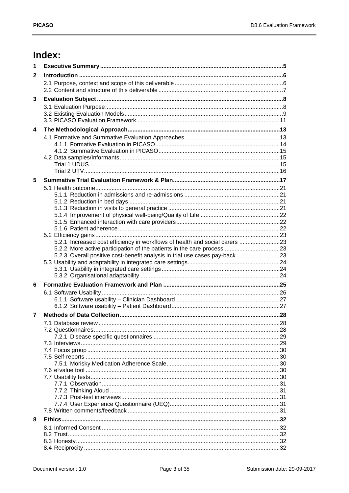# Index:

| 1            |                                                                             |  |
|--------------|-----------------------------------------------------------------------------|--|
| $\mathbf{2}$ |                                                                             |  |
|              |                                                                             |  |
|              |                                                                             |  |
| 3            |                                                                             |  |
|              |                                                                             |  |
|              |                                                                             |  |
|              |                                                                             |  |
| 4            |                                                                             |  |
|              |                                                                             |  |
|              |                                                                             |  |
|              |                                                                             |  |
|              |                                                                             |  |
|              |                                                                             |  |
| 5            |                                                                             |  |
|              |                                                                             |  |
|              |                                                                             |  |
|              |                                                                             |  |
|              |                                                                             |  |
|              |                                                                             |  |
|              |                                                                             |  |
|              |                                                                             |  |
|              | 5.2.1 Increased cost efficiency in workflows of health and social carers 23 |  |
|              | 5.2.2 More active participation of the patients in the care process23       |  |
|              | 5.2.3 Overall positive cost-benefit analysis in trial use cases pay-back23  |  |
|              |                                                                             |  |
|              |                                                                             |  |
| 6            |                                                                             |  |
|              |                                                                             |  |
|              |                                                                             |  |
|              |                                                                             |  |
| 7            |                                                                             |  |
|              |                                                                             |  |
|              |                                                                             |  |
|              |                                                                             |  |
|              |                                                                             |  |
|              |                                                                             |  |
|              |                                                                             |  |
|              |                                                                             |  |
|              |                                                                             |  |
|              |                                                                             |  |
|              |                                                                             |  |
|              |                                                                             |  |
|              |                                                                             |  |
| 8            |                                                                             |  |
|              |                                                                             |  |
|              |                                                                             |  |
|              |                                                                             |  |
|              |                                                                             |  |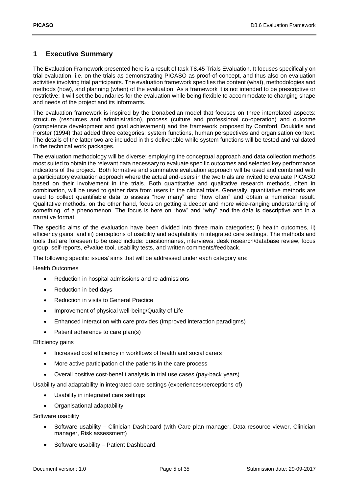### <span id="page-4-0"></span>**1 Executive Summary**

The Evaluation Framework presented here is a result of task T8.45 Trials Evaluation. It focuses specifically on trial evaluation, i.e. on the trials as demonstrating PICASO as proof-of-concept, and thus also on evaluation activities involving trial participants. The evaluation framework specifies the content (what), methodologies and methods (how), and planning (when) of the evaluation. As a framework it is not intended to be prescriptive or restrictive; it will set the boundaries for the evaluation while being flexible to accommodate to changing shape and needs of the project and its informants.

The evaluation framework is inspired by the Donabedian model that focuses on three interrelated aspects: structure (resources and administration), process (culture and professional co-operation) and outcome (competence development and goal achievement) and the framework proposed by Cornford, Doukidis and Forster (1994) that added three categories: system functions, human perspectives and organisation context. The details of the latter two are included in this deliverable while system functions will be tested and validated in the technical work packages.

The evaluation methodology will be diverse; employing the conceptual approach and data collection methods most suited to obtain the relevant data necessary to evaluate specific outcomes and selected key performance indicators of the project. Both formative and summative evaluation approach will be used and combined with a participatory evaluation approach where the actual end-users in the two trials are invited to evaluate PICASO based on their involvement in the trials. Both quantitative and qualitative research methods, often in combination, will be used to gather data from users in the clinical trials. Generally, quantitative methods are used to collect quantifiable data to assess "how many" and "how often" and obtain a numerical result. Qualitative methods, on the other hand, focus on getting a deeper and more wide-ranging understanding of something, of a phenomenon. The focus is here on "how" and "why" and the data is descriptive and in a narrative format.

The specific aims of the evaluation have been divided into three main categories; i) health outcomes, ii) efficiency gains, and iii) perceptions of usability and adaptability in integrated care settings. The methods and tools that are foreseen to be used include: questionnaires, interviews, desk research/database review, focus group, self-reports,  $e<sup>3</sup>$ value tool, usability tests, and written comments/feedback.

The following specific issues/ aims that will be addressed under each category are:

Health Outcomes

- Reduction in hospital admissions and re-admissions
- Reduction in bed days
- Reduction in visits to General Practice
- Improvement of physical well-being/Quality of Life
- Enhanced interaction with care provides (Improved interaction paradigms)
- Patient adherence to care plan(s)

Efficiency gains

- Increased cost efficiency in workflows of health and social carers
- More active participation of the patients in the care process
- Overall positive cost-benefit analysis in trial use cases (pay-back years)

Usability and adaptability in integrated care settings (experiences/perceptions of)

- Usability in integrated care settings
- Organisational adaptability

Software usability

- Software usability Clinician Dashboard (with Care plan manager, Data resource viewer, Clinician manager, Risk assessment)
- Software usability Patient Dashboard.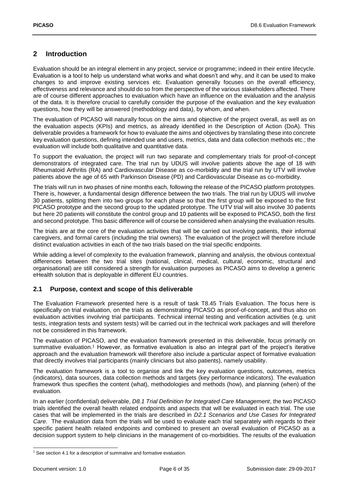### <span id="page-5-0"></span>**2 Introduction**

Evaluation should be an integral element in any project, service or programme; indeed in their entire lifecycle. Evaluation is a tool to help us understand what works and what doesn't and why, and it can be used to make changes to and improve existing services etc. Evaluation generally focuses on the overall efficiency, effectiveness and relevance and should do so from the perspective of the various stakeholders affected. There are of course different approaches to evaluation which have an influence on the evaluation and the analysis of the data. It is therefore crucial to carefully consider the purpose of the evaluation and the key evaluation questions, how they will be answered (methodology and data), by whom, and when.

The evaluation of PICASO will naturally focus on the aims and objective of the project overall, as well as on the evaluation aspects (KPIs) and metrics, as already identified in the Description of Action (DoA). This deliverable provides a framework for how to evaluate the aims and objectives by translating these into concrete key evaluation questions, defining intended use and users, metrics, data and data collection methods etc.; the evaluation will include both qualitative and quantitative data.

To support the evaluation, the project will run two separate and complementary trials for proof-of-concept demonstrators of integrated care. The trial run by UDUS will involve patients above the age of 18 with Rheumatoid Arthritis (RA) and Cardiovascular Disease as co-morbidity and the trial run by UTV will involve patients above the age of 65 with Parkinson Disease (PD) and Cardiovascular Disease as co-morbidity.

The trials will run in two phases of nine months each, following the release of the PICASO platform prototypes. There is, however, a fundamental design difference between the two trials. The trial run by UDUS will involve 30 patients, splitting them into two groups for each phase so that the first group will be exposed to the first PICASO prototype and the second group to the updated prototype. The UTV trial will also involve 30 patients but here 20 patients will constitute the control group and 10 patients will be exposed to PICASO, both the first and second prototype. This basic difference will of course be considered when analysing the evaluation results.

The trials are at the core of the evaluation activities that will be carried out involving patients, their informal caregivers, and formal carers (including the trial owners). The evaluation of the project will therefore include distinct evaluation activities in each of the two trials based on the trial specific endpoints.

While adding a level of complexity to the evaluation framework, planning and analysis, the obvious contextual differences between the two trial sites (national, clinical, medical, cultural, economic, structural and organisational) are still considered a strength for evaluation purposes as PICASO aims to develop a generic eHealth solution that is deployable in different EU countries.

#### <span id="page-5-1"></span>**2.1 Purpose, context and scope of this deliverable**

The Evaluation Framework presented here is a result of task T8.45 Trials Evaluation. The focus here is specifically on trial evaluation, on the trials as demonstrating PICASO as proof-of-concept, and thus also on evaluation activities involving trial participants. Technical internal testing and verification activities (e.g. unit tests, integration tests and system tests) will be carried out in the technical work packages and will therefore not be considered in this framework.

The evaluation of PICASO, and the evaluation framework presented in this deliverable, focus primarily on summative evaluation. <sup>1</sup> However, as formative evaluation is also an integral part of the project's iterative approach and the evaluation framework will therefore also include a particular aspect of formative evaluation that directly involves trial participants (mainly clinicians but also patients), namely usability.

The evaluation framework is a tool to organise and link the key evaluation questions, outcomes, metrics (indicators), data sources, data collection methods and targets (key performance indicators). The evaluation framework thus specifies the content (what), methodologies and methods (how), and planning (when) of the evaluation.

In an earlier (confidential) deliverable, *D8.1 Trial Definition for Integrated Care Management*, the two PICASO trials identified the overall health related endpoints and aspects that will be evaluated in each trial. The use cases that will be implemented in the trials are described in *D2.1 Scenarios and Use Cases for Integrated Care*. The evaluation data from the trials will be used to evaluate each trial separately with regards to their specific patient health related endpoints and combined to present an overall evaluation of PICASO as a decision support system to help clinicians in the management of co-morbidities. The results of the evaluation

-

<sup>&</sup>lt;sup>1</sup> See section 4.1 for a description of summative and formative evaluation.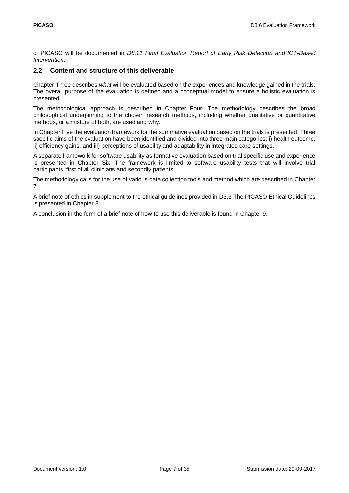of PICASO will be documented in *D8.11 Final Evaluation Report of Early Risk Detection and ICT-Based Intervention*.

#### <span id="page-6-0"></span>**2.2 Content and structure of this deliverable**

Chapter Three describes *what* will be evaluated based on the experiences and knowledge gained in the trials. The overall purpose of the evaluation is defined and a conceptual model to ensure a holistic evaluation is presented.

The methodological approach is described in Chapter Four. The methodology describes the broad philosophical underpinning to the chosen research methods, including whether qualitative or quantitative methods, or a mixture of both, are used and why.

In Chapter Five the evaluation framework for the summative evaluation based on the trials is presented. Three specific aims of the evaluation have been identified and divided into three main categories; i) health outcome, ii) efficiency gains, and iii) perceptions of usability and adaptability in integrated care settings.

A separate framework for software usability as formative evaluation based on trial specific use and experience is presented in Chapter Six. The framework is limited to software usability tests that will involve trial participants, first of all clinicians and secondly patients.

The methodology calls for the use of various data collection tools and method which are described in Chapter 7.

A brief note of ethics in supplement to the ethical guidelines provided in D3.3 The PICASO Ethical Guidelines is presented in Chapter 8.

A conclusion in the form of a brief note of how to use this deliverable is found in Chapter 9.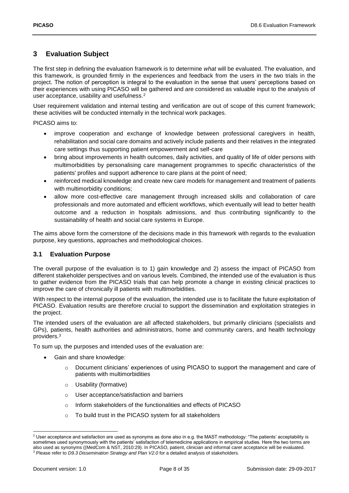### <span id="page-7-0"></span>**3 Evaluation Subject**

The first step in defining the evaluation framework is to determine *what* will be evaluated. The evaluation, and this framework, is grounded firmly in the experiences and feedback from the users in the two trials in the project. The notion of perception is integral to the evaluation in the sense that users' perceptions based on their experiences with using PICASO will be gathered and are considered as valuable input to the analysis of user acceptance, usability and usefulness. 2

User requirement validation and internal testing and verification are out of scope of this current framework; these activities will be conducted internally in the technical work packages.

PICASO aims to:

- improve cooperation and exchange of knowledge between professional caregivers in health, rehabilitation and social care domains and actively include patients and their relatives in the integrated care settings thus supporting patient empowerment and self-care
- bring about improvements in health outcomes, daily activities, and quality of life of older persons with multimorbidities by personalising care management programmes to specific characteristics of the patients' profiles and support adherence to care plans at the point of need;
- reinforced medical knowledge and create new care models for management and treatment of patients with multimorbidity conditions;
- allow more cost-effective care management through increased skills and collaboration of care professionals and more automated and efficient workflows, which eventually will lead to better health outcome and a reduction in hospitals admissions, and thus contributing significantly to the sustainability of health and social care systems in Europe.

The aims above form the cornerstone of the decisions made in this framework with regards to the evaluation purpose, key questions, approaches and methodological choices.

#### <span id="page-7-1"></span>**3.1 Evaluation Purpose**

The overall purpose of the evaluation is to 1) gain knowledge and 2) assess the impact of PICASO from different stakeholder perspectives and on various levels. Combined, the intended use of the evaluation is thus to gather evidence from the PICASO trials that can help promote a change in existing clinical practices to improve the care of chronically ill patients with multimorbidities.

With respect to the internal purpose of the evaluation, the intended use is to facilitate the future exploitation of PICASO. Evaluation results are therefore crucial to support the dissemination and exploitation strategies in the project.

The intended users of the evaluation are all affected stakeholders, but primarily clinicians (specialists and GPs), patients, health authorities and administrators, home and community carers, and health technology providers.<sup>3</sup>

To sum up, the purposes and intended uses of the evaluation are:

- Gain and share knowledge:
	- Document clinicians' experiences of using PICASO to support the management and care of patients with multimorbidities
	- o Usability (formative)
	- o User acceptance/satisfaction and barriers
	- o Inform stakeholders of the functionalities and effects of PICASO
	- o To build trust in the PICASO system for all stakeholders

1

 $2$  User acceptance and satisfaction are used as synonyms as done also in e.g. the MAST methodology: "The patients' acceptability is sometimes used synonymously with the patients' satisfaction of telemedicine applications in empirical studies. Here the two terms are also used as synonyms ((MedCom & NST, 2010:29). In PICASO, patient, clinician and informal carer acceptance will be evaluated. <sup>3</sup> Please refer to *D9.3 Dissemination Strategy and Plan V2.0* for a detailed analysis of stakeholders.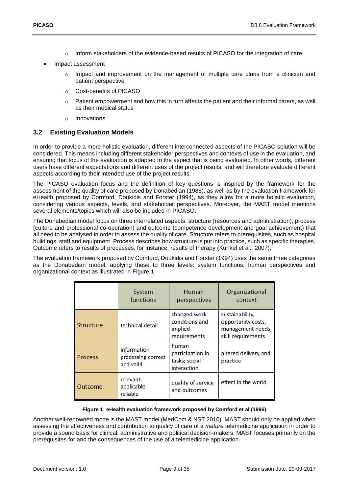- o Inform stakeholders of the evidence-based results of PICASO for the integration of care.
- Impact assessment
	- $\circ$  Impact and improvement on the management of multiple care plans from a clinician and patient perspective
	- o Cost-benefits of PICASO
	- o Patient empowerment and how this in turn affects the patient and their informal carers, as well as their medical status
	- o Innovations.

#### <span id="page-8-0"></span>**3.2 Existing Evaluation Models**

In order to provide a more holistic evaluation, different interconnected aspects of the PICASO solution will be considered. This means including different stakeholder perspectives and contexts of use in the evaluation, and ensuring that focus of the evaluation is adapted to the aspect that is being evaluated. In other words, different users have different expectations and different uses of the project results, and will therefore evaluate different aspects according to their intended use of the project results.

The PICASO evaluation focus and the definition of key questions is inspired by the framework for the assessment of the quality of care proposed by Donabedian (1988), as well as by the evaluation framework for eHealth proposed by Cornford, Doukidis and Forster (1994), as they allow for a more holistic evaluation, considering various aspects, levels, and stakeholder perspectives. Moreover, the MAST model mentions several elements/topics which will also be included in PICASO.

The Donabedian model focus on three interrelated aspects: structure (resources and administration), process (culture and professional co-operation) and outcome (competence development and goal achievement) that all need to be analysed in order to assess the quality of care. Structure refers to prerequisites, such as hospital buildings, staff and equipment. Process describes how structure is put into practice, such as specific therapies. Outcome refers to results of processes, for instance, results of therapy (Kunkel et al., 2007).

The evaluation framework proposed by Comford, Doukidis and Forster (1994) uses the same three categories as the Donabedian model, applying these to three levels: system functions, human perspectives and organizational context as illustrated in [Figure 1.](#page-8-1)

|                                                                  | System<br>functions                  | Human<br>perspectives                                     | Organizational<br>context                                                        |
|------------------------------------------------------------------|--------------------------------------|-----------------------------------------------------------|----------------------------------------------------------------------------------|
| <b>Structure</b>                                                 | technical detail                     | changed work<br>conditions and<br>implied<br>requirements | sustainability,<br>opportunity costs,<br>management needs,<br>skill requirements |
| information<br>processing correct<br><b>Process</b><br>and valid |                                      | human<br>participation in<br>tasks; social<br>interaction | altered delivery and<br>practice                                                 |
| Outcome                                                          | relevant,<br>applicable,<br>reliable | quality of service<br>and outcomes                        | effect in the world                                                              |

#### **Figure 1: eHealth evaluation framework proposed by Comford et al (1996)**

<span id="page-8-1"></span>Another well-renowned mode is the MAST model (MedCom & NST 2010). MAST should only be applied when assessing the effectiveness and contribution to quality of care of a *mature* telemedicine application in order to provide a sound basis for clinical, administrative and political decision-makers. MAST focuses primarily on the prerequisites for and the consequences of the use of a telemedicine application.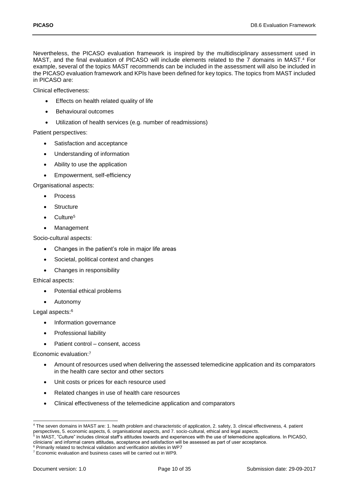Nevertheless, the PICASO evaluation framework is inspired by the multidisciplinary assessment used in MAST, and the final evaluation of PICASO will include elements related to the 7 domains in MAST. <sup>4</sup> For example, several of the topics MAST recommends can be included in the assessment will also be included in the PICASO evaluation framework and KPIs have been defined for key topics. The topics from MAST included in PICASO are:

Clinical effectiveness:

- Effects on health related quality of life
- Behavioural outcomes
- Utilization of health services (e.g. number of readmissions)

Patient perspectives:

- Satisfaction and acceptance
- Understanding of information
- Ability to use the application
- Empowerment, self-efficiency

Organisational aspects:

- Process
- Structure
- Culture<sup>5</sup>
- Management

Socio-cultural aspects:

- Changes in the patient's role in major life areas
- Societal, political context and changes
- Changes in responsibility

Ethical aspects:

- Potential ethical problems
- Autonomy

Legal aspects:<sup>6</sup>

- Information governance
- Professional liability
- Patient control consent, access

Economic evaluation: 7

- Amount of resources used when delivering the assessed telemedicine application and its comparators in the health care sector and other sectors
- Unit costs or prices for each resource used
- Related changes in use of health care resources
- Clinical effectiveness of the telemedicine application and comparators

<sup>-</sup><sup>4</sup> The seven domains in MAST are: 1. health problem and characteristic of application, 2. safety, 3. clinical effectiveness, 4. patient perspectives, 5. economic aspects, 6. organisational aspects, and 7. socio-cultural, ethical and legal aspects.

<sup>&</sup>lt;sup>5</sup> In MAST, "Culture" includes clinical staff's attitudes towards and experiences with the use of telemedicine applications. In PICASO, clinicians' and informal carers attitudes, acceptance and satisfaction will be assessed as part of user acceptance.

<sup>6</sup> Primarily related to technical validation and verification ativities in WP7

<sup>&</sup>lt;sup>7</sup> Economic evaluation and business cases will be carried out in WP9.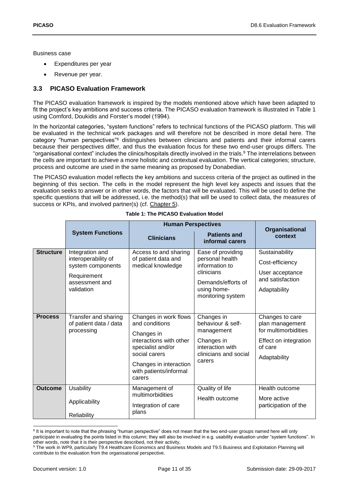Business case

- Expenditures per year
- Revenue per year.

### <span id="page-10-0"></span>**3.3 PICASO Evaluation Framework**

The PICASO evaluation framework is inspired by the models mentioned above which have been adapted to fit the project's key ambitions and success criteria. The PICASO evaluation framework is illustrated in [Table 1](#page-10-1) using Comford, Doukidis and Forster's model (1994).

In the horizontal categories, "system functions" refers to technical functions of the PICASO platform. This will be evaluated in the technical work packages and will therefore not be described in more detail here. The category "human perspectives"<sup>8</sup> distinguishes between clinicians and patients and their informal carers because their perspectives differ, and thus the evaluation focus for these two end-user groups differs. The "organisational context" includes the clinics/hospitals directly involved in the trials.<sup>9</sup> The interrelations between the cells are important to achieve a more holistic and contextual evaluation. The vertical categories; structure, process and outcome are used in the same meaning as proposed by Donabedian.

The PICASO evaluation model reflects the key ambitions and success criteria of the project as outlined in the beginning of this section. The cells in the model represent the high level key aspects and issues that the evaluation seeks to answer or in other words, the factors that will be evaluated. This will be used to define the specific questions that will be addressed, i.e. the method(s) that will be used to collect data, the measures of success or KPIs, and involved partner(s) (cf. [Chapter 5\)](#page-16-0).

<span id="page-10-1"></span>

|                  |                                                                                                            | <b>Human Perspectives</b>                                                                                                                                                            |                                                                                                                                |                                                                                                                |
|------------------|------------------------------------------------------------------------------------------------------------|--------------------------------------------------------------------------------------------------------------------------------------------------------------------------------------|--------------------------------------------------------------------------------------------------------------------------------|----------------------------------------------------------------------------------------------------------------|
|                  | <b>System Functions</b>                                                                                    | <b>Clinicians</b>                                                                                                                                                                    | <b>Patients and</b><br>informal carers                                                                                         | Organisational<br>context                                                                                      |
| <b>Structure</b> | Integration and<br>interoperability of<br>system components<br>Requirement<br>assessment and<br>validation | Access to and sharing<br>of patient data and<br>medical knowledge                                                                                                                    | Ease of providing<br>personal health<br>information to<br>clinicians<br>Demands/efforts of<br>using home-<br>monitoring system | Sustainability<br>Cost-efficiency<br>User acceptance<br>and satisfaction<br>Adaptability                       |
| <b>Process</b>   | Transfer and sharing<br>of patient data / data<br>processing                                               | Changes in work flows<br>and conditions<br>Changes in<br>interactions with other<br>specialist and/or<br>social carers<br>Changes in interaction<br>with patients/informal<br>carers | Changes in<br>behaviour & self-<br>management<br>Changes in<br>interaction with<br>clinicians and social<br>carers             | Changes to care<br>plan management<br>for multimorbidities<br>Effect on integration<br>of care<br>Adaptability |
| <b>Outcome</b>   | <b>Usability</b><br>Applicability<br>Reliability                                                           | Management of<br>multimorbidities<br>Integration of care<br>plans                                                                                                                    | Quality of life<br>Health outcome                                                                                              | Health outcome<br>More active<br>participation of the                                                          |

|  |  |  | Table 1: The PICASO Evaluation Model |  |
|--|--|--|--------------------------------------|--|
|--|--|--|--------------------------------------|--|

<sup>1</sup> <sup>8</sup> It is important to note that the phrasing "human perspective" does not mean that the two end-user groups named here will only

participate in evaluating the points listed in this column; they will also be involved in e.g. usability evaluation under "system functions". In other words, note that it is their perspective described, not their activity,

<sup>9</sup> The work in WP9, particularly T9.4 Healthcare Economics and Business Models and T9.5 Business and Exploitation Planning will contribute to the evaluation from the organisational perspective.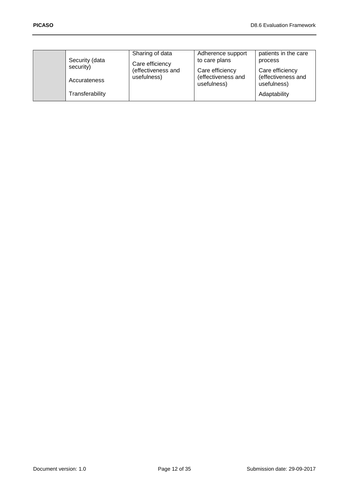| Security (data<br>security) | Sharing of data<br>Care efficiency | Adherence support<br>to care plans                   | patients in the care<br>process                      |
|-----------------------------|------------------------------------|------------------------------------------------------|------------------------------------------------------|
| Accurateness                | (effectiveness and<br>usefulness)  | Care efficiency<br>(effectiveness and<br>usefulness) | Care efficiency<br>(effectiveness and<br>usefulness) |
| Transferability             |                                    |                                                      | Adaptability                                         |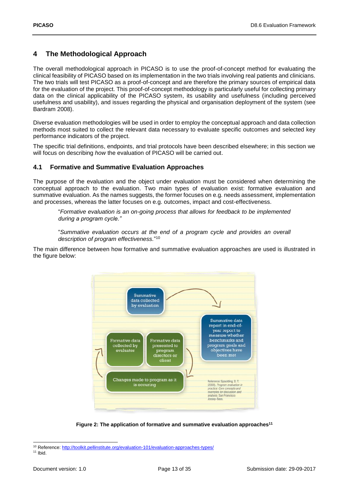### <span id="page-12-0"></span>**4 The Methodological Approach**

The overall methodological approach in PICASO is to use the proof-of-concept method for evaluating the clinical feasibility of PICASO based on its implementation in the two trials involving real patients and clinicians. The two trials will test PICASO as a proof-of-concept and are therefore the primary sources of empirical data for the evaluation of the project. This proof-of-concept methodology is particularly useful for collecting primary data on the clinical applicability of the PICASO system, its usability and usefulness (including perceived usefulness and usability), and issues regarding the physical and organisation deployment of the system (see Bardram 2008).

Diverse evaluation methodologies will be used in order to employ the conceptual approach and data collection methods most suited to collect the relevant data necessary to evaluate specific outcomes and selected key performance indicators of the project.

The specific trial definitions, endpoints, and trial protocols have been described elsewhere; in this section we will focus on describing *how* the evaluation of PICASO will be carried out.

#### <span id="page-12-1"></span>**4.1 Formative and Summative Evaluation Approaches**

The purpose of the evaluation and the object under evaluation must be considered when determining the conceptual approach to the evaluation. Two main types of evaluation exist: formative evaluation and summative evaluation. As the names suggests, the former focuses on e.g. needs assessment, implementation and processes, whereas the latter focuses on e.g. outcomes, impact and cost-effectiveness.

"*Formative evaluation is an on-going process that allows for feedback to be implemented during a program cycle."*

"*Summative evaluation occurs at the end of a program cycle and provides an overall description of program effectiveness.*" 10

The main difference between how formative and summative evaluation approaches are used is illustrated in the figure below:



**Figure 2: The application of formative and summative evaluation approaches<sup>11</sup>**

<span id="page-12-2"></span><sup>10</sup> Reference:<http://toolkit.pellinstitute.org/evaluation-101/evaluation-approaches-types/>

 $11$  Ibid.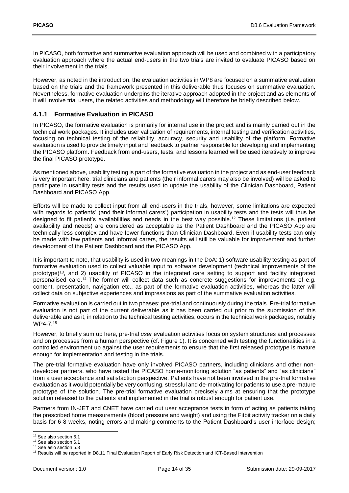In PICASO, both formative and summative evaluation approach will be used and combined with a participatory evaluation approach where the actual end-users in the two trials are invited to evaluate PICASO based on their involvement in the trials.

However, as noted in the introduction, the evaluation activities in WP8 are focused on a summative evaluation based on the trials and the framework presented in this deliverable thus focuses on summative evaluation. Nevertheless, formative evaluation underpins the iterative approach adopted in the project and as elements of it will involve trial users, the related activities and methodology will therefore be briefly described below.

#### <span id="page-13-0"></span>**4.1.1 Formative Evaluation in PICASO**

In PICASO, the formative evaluation is primarily for internal use in the project and is mainly carried out in the technical work packages. It includes user validation of requirements, internal testing and verification activities, focusing on technical testing of the reliability, accuracy, security and usability of the platform. Formative evaluation is used to provide timely input and feedback to partner responsible for developing and implementing the PICASO platform. Feedback from end-users, tests, and lessons learned will be used iteratively to improve the final PICASO prototype.

As mentioned above, usability testing is part of the formative evaluation in the project and as end-user feedback is very important here, trial clinicians and patients (their informal carers may also be involved) will be asked to participate in usability tests and the results used to update the usability of the Clinician Dashboard, Patient Dashboard and PICASO App.

Efforts will be made to collect input from all end-users in the trials, however, some limitations are expected with regards to patients' (and their informal carers') participation in usability tests and the tests will thus be designed to fit patient's availabilities and needs in the best way possible.<sup>12</sup> These limitations (i.e. patient availability and needs) are considered as acceptable as the Patient Dashboard and the PICASO App are technically less complex and have fewer functions than Clinician Dashboard. Even if usability tests can only be made with few patients and informal carers, the results will still be valuable for improvement and further development of the Patient Dashboard and the PICASO App.

It is important to note, that usability is used in two meanings in the DoA: 1) software usability testing as part of formative evaluation used to collect valuable input to software development (technical improvements of the prototype) <sup>13</sup>, and 2) usability of PICASO in the integrated care setting to support and facility integrated personalised care.<sup>14</sup> The former will collect data such as concrete suggestions for improvements of e.g. content, presentation, navigation etc., as part of the formative evaluation activities, whereas the latter will collect data on subjective experiences and impressions as part of the summative evaluation activities.

Formative evaluation is carried out in two phases: pre-trial and continuously during the trials. Pre-trial formative evaluation is not part of the current deliverable as it has been carried out prior to the submission of this deliverable and as it, in relation to the technical testing activities, occurs in the technical work packages, notably WP4-7.<sup>15</sup>

However, to briefly sum up here, pre-trial *user* evaluation activities focus on system structures and processes and on processes from a human perspective (cf. [Figure 1\)](#page-8-1). It is concerned with testing the functionalities in a controlled environment up against the user requirements to ensure that the first released prototype is mature enough for implementation and testing in the trials.

The pre-trial formative evaluation have only involved PICASO partners, including clinicians and other nondeveloper partners, who have tested the PICASO home-monitoring solution "as patients" and "as clinicians" from a user acceptance and satisfaction perspective. Patients have not been involved in the pre-trial formative evaluation as it would potentially be very confusing, stressful and de-motivating for patients to use a pre-mature prototype of the solution. The pre-trial formative evaluation precisely aims at ensuring that the prototype solution released to the patients and implemented in the trial is robust enough for patient use.

Partners from IN-JET and CNET have carried out user acceptance tests in form of acting as patients taking the prescribed home measurements (blood pressure and weight) and using the Fitbit activity tracker on a daily basis for 6-8 weeks, noting errors and making comments to the Patient Dashboard's user interface design;

<sup>1</sup> <sup>12</sup> See also section 6.1

<sup>&</sup>lt;sup>13</sup> See also section 6.1

<sup>14</sup> See aslo section 5.3

<sup>15</sup> Results will be reported in D8.11 Final Evaluation Report of Early Risk Detection and ICT-Based Intervention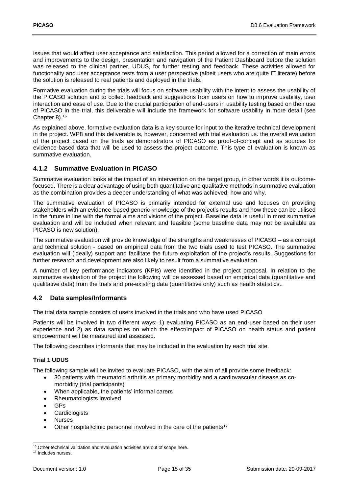issues that would affect user acceptance and satisfaction. This period allowed for a correction of main errors and improvements to the design, presentation and navigation of the Patient Dashboard before the solution was released to the clinical partner, UDUS, for further testing and feedback. These activities allowed for functionality and user acceptance tests from a user perspective (albeit users who are quite IT literate) before the solution is released to real patients and deployed in the trials.

Formative evaluation during the trials will focus on software usability with the intent to assess the usability of the PICASO solution and to collect feedback and suggestions from users on how to improve usability, user interaction and ease of use. Due to the crucial participation of end-users in usability testing based on their use of PICASO in the trial, this deliverable will include the framework for software usability in more detail (see [Chapter 8\)](#page-24-0).<sup>16</sup>

As explained above, formative evaluation data is a key source for input to the iterative technical development in the project. WP8 and this deliverable is, however, concerned with trial evaluation i.e. the overall evaluation of the project based on the trials as demonstrators of PICASO as proof-of-concept and as sources for evidence-based data that will be used to assess the project outcome. This type of evaluation is known as summative evaluation.

### <span id="page-14-0"></span>**4.1.2 Summative Evaluation in PICASO**

Summative evaluation looks at the impact of an intervention on the target group, in other words it is outcomefocused. There is a clear advantage of using both quantitative and qualitative methods in summative evaluation as the combination provides a deeper understanding of what was achieved, how and why.

The summative evaluation of PICASO is primarily intended for external use and focuses on providing stakeholders with an evidence-based generic knowledge of the project's results and how these can be utilised in the future in line with the formal aims and visions of the project. Baseline data is useful in most summative evaluation and will be included when relevant and feasible (some baseline data may not be available as PICASO is new solution).

The summative evaluation will provide knowledge of the strengths and weaknesses of PICASO – as a concept and technical solution - based on empirical data from the two trials used to test PICASO. The summative evaluation will (ideally) support and facilitate the future exploitation of the project's results. Suggestions for further research and development are also likely to result from a summative evaluation.

A number of key performance indicators (KPIs) were identified in the project proposal. In relation to the summative evaluation of the project the following will be assessed based on empirical data (quantitative and qualitative data) from the trials and pre-existing data (quantitative only) such as health statistics..

#### <span id="page-14-1"></span>**4.2 Data samples/Informants**

The trial data sample consists of users involved in the trials and who have used PICASO

Patients will be involved in two different ways: 1) evaluating PICASO as an end-user based on their user experience and 2) as data samples on which the effect/impact of PICASO on health status and patient empowerment will be measured and assessed.

The following describes informants that may be included in the evaluation by each trial site.

#### <span id="page-14-2"></span>**Trial 1 UDUS**

The following sample will be invited to evaluate PICASO, with the aim of all provide some feedback:

- 30 patients with rheumatoid arthritis as primary morbidity and a cardiovascular disease as comorbidity (trial participants)
- When applicable, the patients' informal carers
- Rheumatologists involved
- GPs
- Cardiologists
- Nurses
- Other hospital/clinic personnel involved in the care of the patients<sup>17</sup>

<sup>-</sup><sup>16</sup> Other technical validation and evaluation activities are out of scope here.

<sup>&</sup>lt;sup>17</sup> Includes nurses.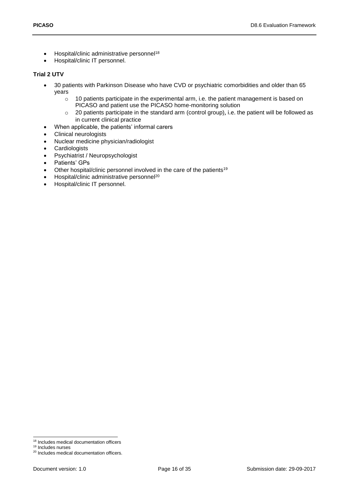- Hospital/clinic administrative personnel<sup>18</sup>
- Hospital/clinic IT personnel.

#### <span id="page-15-0"></span>**Trial 2 UTV**

- 30 patients with Parkinson Disease who have CVD or psychiatric comorbidities and older than 65 years
	- $\circ$  10 patients participate in the experimental arm, i.e. the patient management is based on PICASO and patient use the PICASO home-monitoring solution
	- o 20 patients participate in the standard arm (control group), i.e. the patient will be followed as in current clinical practice
- When applicable, the patients' informal carers
- Clinical neurologists
- Nuclear medicine physician/radiologist
- Cardiologists
- Psychiatrist / Neuropsychologist
- Patients' GPs
- Other hospital/clinic personnel involved in the care of the patients<sup>19</sup>
- Hospital/clinic administrative personnel<sup>20</sup>
- Hospital/clinic IT personnel.

1

<sup>&</sup>lt;sup>18</sup> Includes medical documentation officers

<sup>&</sup>lt;sup>19</sup> Includes nurses

<sup>20</sup> Includes medical documentation officers.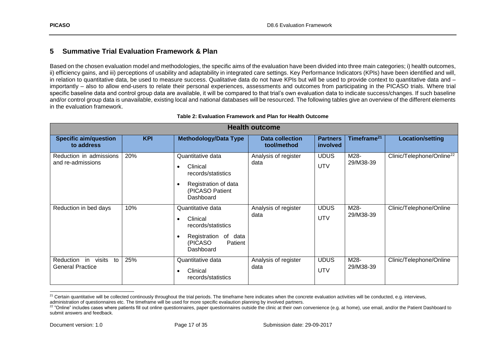### **5 Summative Trial Evaluation Framework & Plan**

Based on the chosen evaluation model and methodologies, the specific aims of the evaluation have been divided into three main categories; i) health outcomes, ii) efficiency gains, and iii) perceptions of usability and adaptability in integrated care settings. Key Performance Indicators (KPIs) have been identified and will, in relation to quantitative data, be used to measure success. Qualitative data do not have KPIs but will be used to provide context to quantitative data and – importantly – also to allow end-users to relate their personal experiences, assessments and outcomes from participating in the PICASO trials. Where trial specific baseline data and control group data are available, it will be compared to that trial's own evaluation data to indicate success/changes. If such baseline and/or control group data is unavailable, existing local and national databases will be resourced. The following tables give an overview of the different elements in the evaluation framework.

<span id="page-16-0"></span>

|                                                            | <b>Health outcome</b> |                                                                                                                                       |                                       |                             |                         |                                       |
|------------------------------------------------------------|-----------------------|---------------------------------------------------------------------------------------------------------------------------------------|---------------------------------------|-----------------------------|-------------------------|---------------------------------------|
| <b>Specific aim/question</b><br>to address                 | <b>KPI</b>            | <b>Methodology/Data Type</b>                                                                                                          | <b>Data collection</b><br>tool/method | <b>Partners</b><br>involved | Timeframe <sup>21</sup> | <b>Location/setting</b>               |
| Reduction in admissions<br>and re-admissions               | 20%                   | Quantitative data<br>Clinical<br>$\bullet$<br>records/statistics<br>Registration of data<br>$\bullet$<br>(PICASO Patient<br>Dashboard | Analysis of register<br>data          | <b>UDUS</b><br><b>UTV</b>   | M28-<br>29/M38-39       | Clinic/Telephone/Online <sup>22</sup> |
| Reduction in bed days                                      | 10%                   | Quantitative data<br>Clinical<br>$\bullet$<br>records/statistics<br>Registration<br>of data<br>(PICASO<br>Patient<br>Dashboard        | Analysis of register<br>data          | <b>UDUS</b><br><b>UTV</b>   | M28-<br>29/M38-39       | Clinic/Telephone/Online               |
| visits<br>in<br>to<br>Reduction<br><b>General Practice</b> | 25%                   | Quantitative data<br>Clinical<br>$\bullet$<br>records/statistics                                                                      | Analysis of register<br>data          | <b>UDUS</b><br><b>UTV</b>   | M28-<br>29/M38-39       | Clinic/Telephone/Online               |

#### **Table 2: Evaluation Framework and Plan for Health Outcome**

<span id="page-16-1"></span>l <sup>21</sup> Certain quantitative will be collected continously throughout the trial periods. The timeframe here indicates when the concrete evaluation activities will be conducted, e.g. interviews, administration of questionnaires etc. The timeframe will be used for more specific evalaution planning by involved partners.

<sup>&</sup>lt;sup>22</sup> "Online" includes cases where patients fill out online questionnaires, paper questionnaires outside the clinic at their own convenience (e.g. at home), use email, and/or the Patient Dashboard to submit answers and feedback.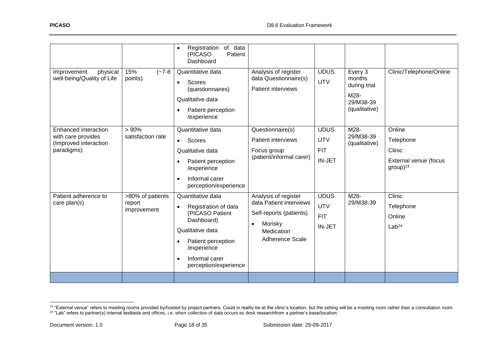| Improvement<br>physical<br>well-being/Quality of Life                             | 15%<br>$(-7-8)$<br>points)                | Registration of data<br>$\bullet$<br>Patient<br>(PICASO<br>Dashboard<br>Quantitative data<br>Scores<br>$\bullet$<br>(questionnaires)<br>Qualitative data<br>Patient perception<br>$\bullet$<br>/experience | Analysis of register<br>data Questionnaire(s)<br><b>Patient interviews</b>                                                                 | <b>UDUS</b><br><b>UTV</b>                                | Every 3<br>months<br>during trial<br>M28-<br>29/M38-39<br>(qualitative) | Clinic/Telephone/Online                                                 |
|-----------------------------------------------------------------------------------|-------------------------------------------|------------------------------------------------------------------------------------------------------------------------------------------------------------------------------------------------------------|--------------------------------------------------------------------------------------------------------------------------------------------|----------------------------------------------------------|-------------------------------------------------------------------------|-------------------------------------------------------------------------|
| Enhanced interaction<br>with care provides<br>(Improved interaction<br>paradigms) | >90%<br>satisfaction rate                 | Quantitative data<br><b>Scores</b><br>$\bullet$<br>Qualitative data<br>Patient perception<br>$\bullet$<br>/experience<br>Informal carer<br>$\bullet$<br>perception/experience                              | Questionnaire(s)<br><b>Patient interviews</b><br>Focus group<br>(patient/informal carer)                                                   | <b>UDUS</b><br><b>UTV</b><br><b>FIT</b><br><b>IN-JET</b> | M28-<br>29/M38-39<br>(qualitative)                                      | Online<br>Telephone<br>Clinic<br>External venue (focus<br>$group)^{23}$ |
| Patient adherence to<br>care $plan(s)$                                            | >80% of patients<br>report<br>improvement | Quantitative data<br>Registration of data<br>$\bullet$<br>(PICASO Patient<br>Dashboard)<br>Qualitative data<br>Patient perception<br>/experience<br>Informal carer<br>$\bullet$<br>perception/experience   | Analysis of register<br>data Patient interviews<br>Self-reports (patients)<br>Morisky<br>$\bullet$<br>Medication<br><b>Adherence Scale</b> | <b>UDUS</b><br><b>UTV</b><br><b>FIT</b><br>IN-JET        | M28-<br>29/M38-39                                                       | Clinic<br>Telephone<br>Online<br>Lab <sup>24</sup>                      |
|                                                                                   |                                           |                                                                                                                                                                                                            |                                                                                                                                            |                                                          |                                                                         |                                                                         |

<sup>&</sup>lt;sup>23</sup> "External venue" refers to meeting rooms provided by/hosted by project partners. Could in reality be at the clinic's location, but the setting will be a meeting room rather than a consultation room.

 $^{24}$  "Lab" refers to partner(s) internal testbeds and offices, i.e. when collection of data occurs as desk researchfrom a partner's base/location.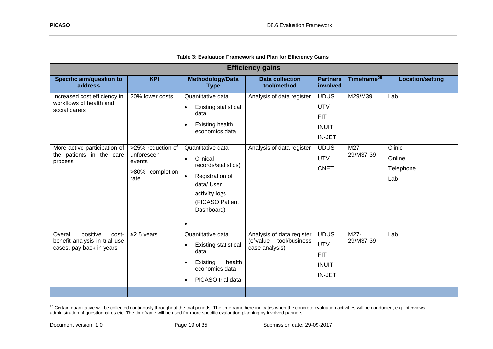|                                                                                           |                                                                      |                                                                                                                                                                               | <b>Efficiency gains</b>                                                            |                                                                          |                         |                                      |
|-------------------------------------------------------------------------------------------|----------------------------------------------------------------------|-------------------------------------------------------------------------------------------------------------------------------------------------------------------------------|------------------------------------------------------------------------------------|--------------------------------------------------------------------------|-------------------------|--------------------------------------|
| <b>Specific aim/question to</b><br>address                                                | <b>KPI</b>                                                           | <b>Methodology/Data</b><br><b>Type</b>                                                                                                                                        | <b>Data collection</b><br>tool/method                                              | <b>Partners</b><br>involved                                              | Timeframe <sup>25</sup> | <b>Location/setting</b>              |
| Increased cost efficiency in<br>workflows of health and<br>social carers                  | 20% lower costs                                                      | Quantitative data<br><b>Existing statistical</b><br>$\bullet$<br>data<br><b>Existing health</b><br>$\bullet$<br>economics data                                                | Analysis of data register                                                          | <b>UDUS</b><br><b>UTV</b><br><b>FIT</b><br><b>INUIT</b><br><b>IN-JET</b> | M29/M39                 | Lab                                  |
| More active participation of<br>the patients in the care<br>process                       | >25% reduction of<br>unforeseen<br>events<br>>80% completion<br>rate | Quantitative data<br>Clinical<br>$\bullet$<br>records/statistics)<br>Registration of<br>$\bullet$<br>data/User<br>activity logs<br>(PICASO Patient<br>Dashboard)<br>$\bullet$ | Analysis of data register                                                          | <b>UDUS</b><br><b>UTV</b><br><b>CNET</b>                                 | M27-<br>29/M37-39       | Clinic<br>Online<br>Telephone<br>Lab |
| positive<br>Overall<br>cost-<br>benefit analysis in trial use<br>cases, pay-back in years | $\leq$ 2.5 years                                                     | Quantitative data<br><b>Existing statistical</b><br>$\bullet$<br>data<br>health<br>Existing<br>$\bullet$<br>economics data<br>PICASO trial data<br>$\bullet$                  | Analysis of data register<br>(e <sup>3</sup> value tool/business<br>case analysis) | <b>UDUS</b><br><b>UTV</b><br><b>FIT</b><br><b>INUIT</b><br><b>IN-JET</b> | M27-<br>29/M37-39       | Lab                                  |

<span id="page-18-0"></span> $^{25}$  Certain quantitative will be collected continously throughout the trial periods. The timeframe here indicates when the concrete evaluation activities will be conducted, e.g. interviews, administration of questionnaires etc. The timeframe will be used for more specific evalaution planning by involved partners.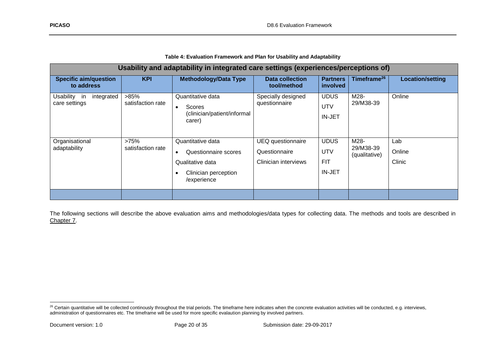| Table 4: Evaluation Framework and Plan for Usability and Adaptability |  |
|-----------------------------------------------------------------------|--|
|-----------------------------------------------------------------------|--|

| Usability and adaptability in integrated care settings (experiences/perceptions of) |                              |                                                                                                                   |                                                                   |                                                   |                                    |                         |
|-------------------------------------------------------------------------------------|------------------------------|-------------------------------------------------------------------------------------------------------------------|-------------------------------------------------------------------|---------------------------------------------------|------------------------------------|-------------------------|
| <b>Specific aim/question</b><br>to address                                          | <b>KPI</b>                   | <b>Methodology/Data Type</b>                                                                                      | <b>Data collection</b><br>tool/method                             | <b>Partners</b><br>involved                       | Timeframe <sup>26</sup>            | Location/setting        |
| integrated<br>Usability<br>in<br>care settings                                      | $>85\%$<br>satisfaction rate | Quantitative data<br>Scores<br>$\bullet$<br>(clinician/patient/informal<br>carer)                                 | Specially designed<br>questionnaire                               | <b>UDUS</b><br>UTV<br><b>IN-JET</b>               | M28-<br>29/M38-39                  | Online                  |
| Organisational<br>adaptability                                                      | >75%<br>satisfaction rate    | Quantitative data<br>Questionnaire scores<br>$\bullet$<br>Qualitative data<br>Clinician perception<br>/experience | <b>UEQ</b> questionnaire<br>Questionnaire<br>Clinician interviews | <b>UDUS</b><br>UTV<br><b>FIT</b><br><b>IN-JET</b> | M28-<br>29/M38-39<br>(qualitative) | Lab<br>Online<br>Clinic |
|                                                                                     |                              |                                                                                                                   |                                                                   |                                                   |                                    |                         |

<span id="page-19-0"></span>The following sections will describe the above evaluation aims and methodologies/data types for collecting data. The methods and tools are described in [Chapter 7.](#page-27-3)

<sup>&</sup>lt;sup>26</sup> Certain quantitative will be collected continously throughout the trial periods. The timeframe here indicates when the concrete evaluation activities will be conducted, e.g. interviews, administration of questionnaires etc. The timeframe will be used for more specific evalaution planning by involved partners.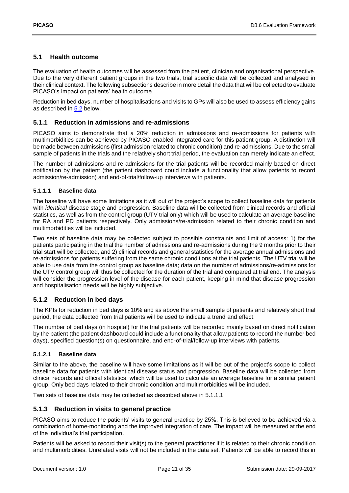#### <span id="page-20-0"></span>**5.1 Health outcome**

The evaluation of health outcomes will be assessed from the patient, clinician and organisational perspective. Due to the very different patient groups in the two trials, trial specific data will be collected and analysed in their clinical context. The following subsections describe in more detail the data that will be collected to evaluate PICASO's impact on patients' health outcome.

Reduction in bed days, number of hospitalisations and visits to GPs will also be used to assess efficiency gains as described in [5.2](#page-22-0) below.

#### <span id="page-20-1"></span>**5.1.1 Reduction in admissions and re-admissions**

PICASO aims to demonstrate that a 20% reduction in admissions and re-admissions for patients with multimorbidities can be achieved by PICASO-enabled integrated care for this patient group. A distinction will be made between admissions (first admission related to chronic condition) and re-admissions. Due to the small sample of patients in the trials and the relatively short trial period, the evaluation can merely indicate an effect.

The number of admissions and re-admissions for the trial patients will be recorded mainly based on direct notification by the patient (the patient dashboard could include a functionality that allow patients to record admission/re-admission) and end-of-trial/follow-up interviews with patients.

#### **5.1.1.1 Baseline data**

The baseline will have some limitations as it will out of the project's scope to collect baseline data for patients with *identical* disease stage and progression. Baseline data will be collected from clinical records and official statistics, as well as from the control group (UTV trial only) which will be used to calculate an average baseline for RA and PD patients respectively. Only admissions/re-admission related to their chronic condition and multimorbidities will be included.

Two sets of baseline data may be collected subject to possible constraints and limit of access: 1) for the patients participating in the trial the number of admissions and re-admissions during the 9 months prior to their trial start will be collected, and 2) clinical records and general statistics for the average annual admissions and re-admissions for patients suffering from the same chronic conditions at the trial patients. The UTV trial will be able to use data from the control group as baseline data; data on the number of admissions/re-admissions for the UTV control group will thus be collected for the duration of the trial and compared at trial end. The analysis will consider the progression level of the disease for each patient, keeping in mind that disease progression and hospitalisation needs will be highly subjective.

#### <span id="page-20-2"></span>**5.1.2 Reduction in bed days**

The KPIs for reduction in bed days is 10% and as above the small sample of patients and relatively short trial period, the data collected from trial patients will be used to indicate a trend and effect.

The number of bed days (in hospital) for the trial patients will be recorded mainly based on direct notification by the patient (the patient dashboard could include a functionality that allow patients to record the number bed days), specified question(s) on questionnaire, and end-of-trial/follow-up interviews with patients.

#### **5.1.2.1 Baseline data**

Similar to the above, the baseline will have some limitations as it will be out of the project's scope to collect baseline data for patients with identical disease status and progression. Baseline data will be collected from clinical records and official statistics, which will be used to calculate an average baseline for a similar patient group. Only bed days related to their chronic condition and multimorbidities will be included.

Two sets of baseline data may be collected as described above in 5.1.1.1.

#### <span id="page-20-3"></span>**5.1.3 Reduction in visits to general practice**

PICASO aims to reduce the patients' visits to general practice by 25%. This is believed to be achieved via a combination of home-monitoring and the improved integration of care. The impact will be measured at the end of the individual's trial participation.

Patients will be asked to record their visit(s) to the general practitioner if it is related to their chronic condition and multimorbidities. Unrelated visits will not be included in the data set. Patients will be able to record this in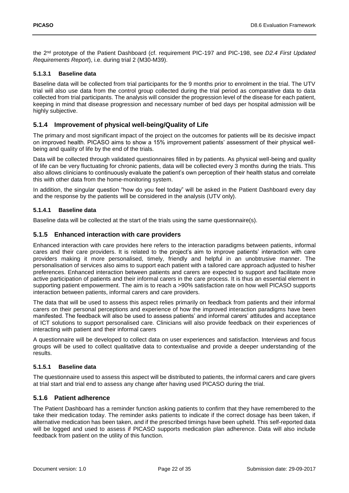the 2nd prototype of the Patient Dashboard (cf. requirement PIC-197 and PIC-198, see *D2.4 First Updated Requirements Report*), i.e. during trial 2 (M30-M39).

#### **5.1.3.1 Baseline data**

Baseline data will be collected from trial participants for the 9 months prior to enrolment in the trial. The UTV trial will also use data from the control group collected during the trial period as comparative data to data collected from trial participants. The analysis will consider the progression level of the disease for each patient, keeping in mind that disease progression and necessary number of bed days per hospital admission will be highly subjective.

#### <span id="page-21-0"></span>**5.1.4 Improvement of physical well-being/Quality of Life**

The primary and most significant impact of the project on the outcomes for patients will be its decisive impact on improved health. PICASO aims to show a 15% improvement patients' assessment of their physical wellbeing and quality of life by the end of the trials.

Data will be collected through validated questionnaires filled in by patients. As physical well-being and quality of life can be very fluctuating for chronic patients, data will be collected every 3 months during the trials. This also allows clinicians to continuously evaluate the patient's own perception of their health status and correlate this with other data from the home-monitoring system.

In addition, the singular question "how do you feel today" will be asked in the Patient Dashboard every day and the response by the patients will be considered in the analysis (UTV only).

#### **5.1.4.1 Baseline data**

Baseline data will be collected at the start of the trials using the same questionnaire(s).

#### <span id="page-21-1"></span>**5.1.5 Enhanced interaction with care providers**

Enhanced interaction with care provides here refers to the interaction paradigms between patients, informal cares and their care providers. It is related to the project's aim to improve patients' interaction with care providers making it more personalised, timely, friendly and helpful in an unobtrusive manner. The personalisation of services also aims to support each patient with a tailored care approach adjusted to his/her preferences. Enhanced interaction between patients and carers are expected to support and facilitate more active participation of patients and their informal carers in the care process. It is thus an essential element in supporting patient empowerment. The aim is to reach a >90% satisfaction rate on how well PICASO supports interaction between patients, informal carers and care providers.

The data that will be used to assess this aspect relies primarily on feedback from patients and their informal carers on their personal perceptions and experience of how the improved interaction paradigms have been manifested. The feedback will also be used to assess patients' and informal carers' attitudes and acceptance of ICT solutions to support personalised care. Clinicians will also provide feedback on their experiences of interacting with patient and their informal carers

A questionnaire will be developed to collect data on user experiences and satisfaction. Interviews and focus groups will be used to collect qualitative data to contextualise and provide a deeper understanding of the results.

#### **5.1.5.1 Baseline data**

The questionnaire used to assess this aspect will be distributed to patients, the informal carers and care givers at trial start and trial end to assess any change after having used PICASO during the trial.

#### <span id="page-21-2"></span>**5.1.6 Patient adherence**

The Patient Dashboard has a reminder function asking patients to confirm that they have remembered to the take their medication today. The reminder asks patients to indicate if the correct dosage has been taken, if alternative medication has been taken, and if the prescribed timings have been upheld. This self-reported data will be logged and used to assess if PICASO supports medication plan adherence. Data will also include feedback from patient on the utility of this function.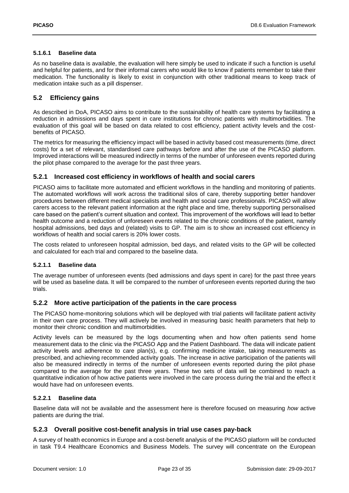#### **5.1.6.1 Baseline data**

As no baseline data is available, the evaluation will here simply be used to indicate if such a function is useful and helpful for patients, and for their informal carers who would like to know if patients remember to take their medication. The functionality is likely to exist in conjunction with other traditional means to keep track of medication intake such as a pill dispenser.

#### <span id="page-22-0"></span>**5.2 Efficiency gains**

As described in DoA, PICASO aims to contribute to the sustainability of health care systems by facilitating a reduction in admissions and days spent in care institutions for chronic patients with multimorbidities. The evaluation of this goal will be based on data related to cost efficiency, patient activity levels and the costbenefits of PICASO.

The metrics for measuring the efficiency impact will be based in activity based cost measurements (time, direct costs) for a set of relevant, standardised care pathways before and after the use of the PICASO platform. Improved interactions will be measured indirectly in terms of the number of unforeseen events reported during the pilot phase compared to the average for the past three years.

#### <span id="page-22-1"></span>**5.2.1 Increased cost efficiency in workflows of health and social carers**

PICASO aims to facilitate more automated and efficient workflows in the handling and monitoring of patients. The automated workflows will work across the traditional silos of care, thereby supporting better handover procedures between different medical specialists and health and social care professionals. PICASO will allow carers access to the relevant patient information at the right place and time, thereby supporting personalised care based on the patient's current situation and context. This improvement of the workflows will lead to better health outcome and a reduction of unforeseen events related to the chronic conditions of the patient, namely hospital admissions, bed days and (related) visits to GP. The aim is to show an increased cost efficiency in workflows of health and social carers is 20% lower costs.

The costs related to unforeseen hospital admission, bed days, and related visits to the GP will be collected and calculated for each trial and compared to the baseline data.

#### **5.2.1.1 Baseline data**

The average number of unforeseen events (bed admissions and days spent in care) for the past three years will be used as baseline data. It will be compared to the number of unforeseen events reported during the two trials.

#### <span id="page-22-2"></span>**5.2.2 More active participation of the patients in the care process**

The PICASO home-monitoring solutions which will be deployed with trial patients will facilitate patient activity in their own care process. They will actively be involved in measuring basic health parameters that help to monitor their chronic condition and multimorbidities.

Activity levels can be measured by the logs documenting when and how often patients send home measurement data to the clinic via the PICASO App and the Patient Dashboard. The data will indicate patient activity levels and adherence to care plan(s), e.g. confirming medicine intake, taking measurements as prescribed, and achieving recommended activity goals. The increase in active participation of the patients will also be measured indirectly in terms of the number of unforeseen events reported during the pilot phase compared to the average for the past three years. These two sets of data will be combined to reach a quantitative indication of how active patients were involved in the care process during the trial and the effect it would have had on unforeseen events.

#### **5.2.2.1 Baseline data**

Baseline data will not be available and the assessment here is therefore focused on measuring *how* active patients are during the trial.

#### <span id="page-22-3"></span>**5.2.3 Overall positive cost-benefit analysis in trial use cases pay-back**

A survey of health economics in Europe and a cost-benefit analysis of the PICASO platform will be conducted in task T9.4 Healthcare Economics and Business Models. The survey will concentrate on the European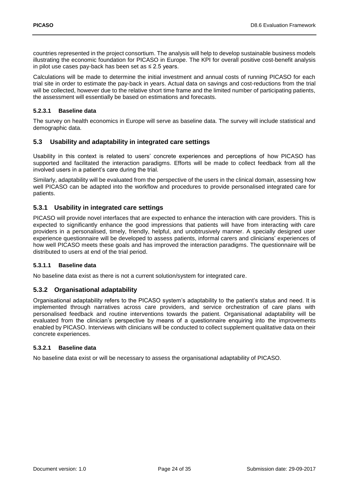countries represented in the project consortium. The analysis will help to develop sustainable business models illustrating the economic foundation for PICASO in Europe. The KPI for overall positive cost-benefit analysis in pilot use cases pay-back has been set as ≤ 2.5 years.

Calculations will be made to determine the initial investment and annual costs of running PICASO for each trial site in order to estimate the pay-back in years. Actual data on savings and cost-reductions from the trial will be collected, however due to the relative short time frame and the limited number of participating patients, the assessment will essentially be based on estimations and forecasts.

#### **5.2.3.1 Baseline data**

The survey on health economics in Europe will serve as baseline data. The survey will include statistical and demographic data.

#### <span id="page-23-0"></span>**5.3 Usability and adaptability in integrated care settings**

Usability in this context is related to users' concrete experiences and perceptions of how PICASO has supported and facilitated the interaction paradigms. Efforts will be made to collect feedback from all the involved users in a patient's care during the trial.

Similarly, adaptability will be evaluated from the perspective of the users in the clinical domain, assessing how well PICASO can be adapted into the workflow and procedures to provide personalised integrated care for patients.

#### <span id="page-23-1"></span>**5.3.1 Usability in integrated care settings**

PICASO will provide novel interfaces that are expected to enhance the interaction with care providers. This is expected to significantly enhance the good impressions that patients will have from interacting with care providers in a personalised, timely, friendly, helpful, and unobtrusively manner. A specially designed user experience questionnaire will be developed to assess patients, informal carers and clinicians' experiences of how well PICASO meets these goals and has improved the interaction paradigms. The questionnaire will be distributed to users at end of the trial period.

#### **5.3.1.1 Baseline data**

No baseline data exist as there is not a current solution/system for integrated care.

#### <span id="page-23-2"></span>**5.3.2 Organisational adaptability**

Organisational adaptability refers to the PICASO system's adaptability to the patient's status and need. It is implemented through narratives across care providers, and service orchestration of care plans with personalised feedback and routine interventions towards the patient. Organisational adaptability will be evaluated from the clinician's perspective by means of a questionnaire enquiring into the improvements enabled by PICASO. Interviews with clinicians will be conducted to collect supplement qualitative data on their concrete experiences.

#### **5.3.2.1 Baseline data**

No baseline data exist or will be necessary to assess the organisational adaptability of PICASO.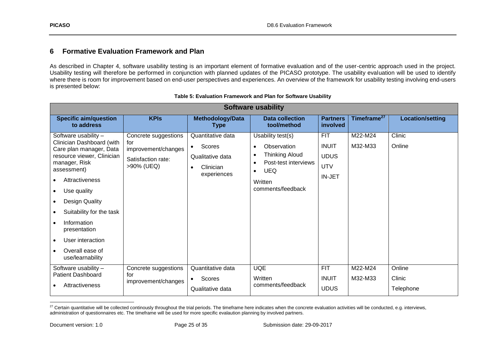### **6 Formative Evaluation Framework and Plan**

As described in Chapter 4, software usability testing is an important element of formative evaluation and of the user-centric approach used in the project. Usability testing will therefore be performed in conjunction with planned updates of the PICASO prototype. The usability evaluation will be used to identify where there is room for improvement based on end-user perspectives and experiences. An overview of the framework for usability testing involving end-users is presented below:

<span id="page-24-0"></span>

| <b>Software usability</b>                                                                                                                                                                                                                                                                                                        |                                                                                        |                                                                                                       |                                                                                                                                                                                     |                                                                   |                         |                               |
|----------------------------------------------------------------------------------------------------------------------------------------------------------------------------------------------------------------------------------------------------------------------------------------------------------------------------------|----------------------------------------------------------------------------------------|-------------------------------------------------------------------------------------------------------|-------------------------------------------------------------------------------------------------------------------------------------------------------------------------------------|-------------------------------------------------------------------|-------------------------|-------------------------------|
| <b>Specific aim/question</b><br>to address                                                                                                                                                                                                                                                                                       | <b>KPIs</b>                                                                            | Methodology/Data<br><b>Type</b>                                                                       | <b>Data collection</b><br>tool/method                                                                                                                                               | <b>Partners</b><br>involved                                       | Timeframe <sup>27</sup> | <b>Location/setting</b>       |
| Software usability -<br>Clinician Dashboard (with<br>Care plan manager, Data<br>resource viewer, Clinician<br>manager, Risk<br>assessment)<br>Attractiveness<br>Use quality<br>Design Quality<br>Suitability for the task<br>Information<br>presentation<br>User interaction<br>$\bullet$<br>Overall ease of<br>use/learnability | Concrete suggestions<br>for<br>improvement/changes<br>Satisfaction rate:<br>>90% (UEQ) | Quantitative data<br>Scores<br>$\bullet$<br>Qualitative data<br>Clinician<br>$\bullet$<br>experiences | Usability test(s)<br>Observation<br>$\bullet$<br><b>Thinking Aloud</b><br>$\bullet$<br>Post-test interviews<br>$\bullet$<br><b>UEQ</b><br>$\bullet$<br>Written<br>comments/feedback | <b>FIT</b><br><b>INUIT</b><br><b>UDUS</b><br><b>UTV</b><br>IN-JET | M22-M24<br>M32-M33      | Clinic<br>Online              |
| Software usability -<br><b>Patient Dashboard</b><br>Attractiveness                                                                                                                                                                                                                                                               | Concrete suggestions<br>for<br>improvement/changes                                     | Quantitative data<br>Scores<br>$\bullet$<br>Qualitative data                                          | <b>UQE</b><br>Written<br>comments/feedback                                                                                                                                          | <b>FIT</b><br><b>INUIT</b><br><b>UDUS</b>                         | M22-M24<br>M32-M33      | Online<br>Clinic<br>Telephone |

|  | Table 5: Evaluation Framework and Plan for Software Usability |  |  |
|--|---------------------------------------------------------------|--|--|
|  |                                                               |  |  |

<span id="page-24-1"></span><sup>&</sup>lt;sup>27</sup> Certain quantitative will be collected continously throughout the trial periods. The timeframe here indicates when the concrete evaluation activities will be conducted, e.g. interviews, administration of questionnaires etc. The timeframe will be used for more specific evalaution planning by involved partners.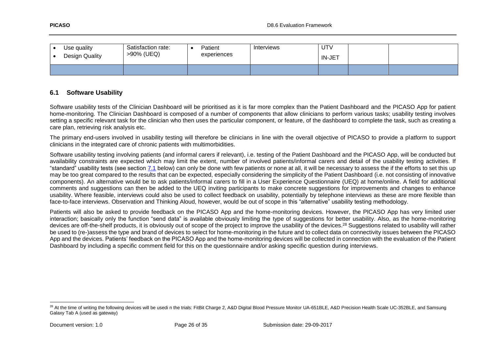| Use quality<br>Design Quality | Satisfaction rate:<br>>90% (UEQ) | Patient<br>experiences | Interviews | UTV<br><b>IN-JET</b> |  |
|-------------------------------|----------------------------------|------------------------|------------|----------------------|--|
|                               |                                  |                        |            |                      |  |

#### **6.1 Software Usability**

Software usability tests of the Clinician Dashboard will be prioritised as it is far more complex than the Patient Dashboard and the PICASO App for patient home-monitoring. The Clinician Dashboard is composed of a number of components that allow clinicians to perform various tasks; usability testing involves setting a specific relevant task for the clinician who then uses the particular component, or feature, of the dashboard to complete the task, such as creating a care plan, retrieving risk analysis etc.

The primary end-users involved in usability testing will therefore be clinicians in line with the overall objective of PICASO to provide a platform to support clinicians in the integrated care of chronic patients with multimorbidities.

Software usability testing involving patients (and informal carers if relevant), i.e. testing of the Patient Dashboard and the PICASO App, will be conducted but availability constraints are expected which may limit the extent, number of involved patients/informal carers and detail of the usability testing activities. If "standard" usability tests (see section [7.1](#page-29-5) below) can only be done with few patients or none at all, it will be necessary to assess the if the efforts to set this up may be too great compared to the results that can be expected, especially considering the simplicity of the Patient Dashboard (i.e. not consisting of innovative components). An alternative would be to ask patients/informal carers to fill in a User Experience Questionnaire (UEQ) at home/online. A field for additional comments and suggestions can then be added to the UEQ inviting participants to make concrete suggestions for improvements and changes to enhance usability. Where feasible, interviews could also be used to collect feedback on usability, potentially by telephone interviews as these are more flexible than face-to-face interviews. Observation and Thinking Aloud, however, would be out of scope in this "alternative" usability testing methodology.

<span id="page-25-0"></span>Patients will also be asked to provide feedback on the PICASO App and the home-monitoring devices. However, the PICASO App has very limited user interaction; basically only the function "send data" is available obviously limiting the type of suggestions for better usability. Also, as the home-monitoring devices are off-the-shelf products, it is obviously out of scope of the project to improve the usability of the devices.<sup>28</sup> Suggestions related to usability will rather be used to (re-)assess the type and brand of devices to select for home-monitoring in the future and to collect data on connectivity issues between the PICASO App and the devices. Patients' feedback on the PICASO App and the home-monitoring devices will be collected in connection with the evaluation of the Patient Dashboard by including a specific comment field for this on the questionnaire and/or asking specific question during interviews.

<sup>&</sup>lt;sup>28</sup> At the time of writing the following devices will be usedi n the trials: FitBit Charge 2, A&D Digital Blood Pressure Monitor UA-651BLE, A&D Precision Health Scale UC-352BLE, and Samsung Galaxy Tab A (used as gateway)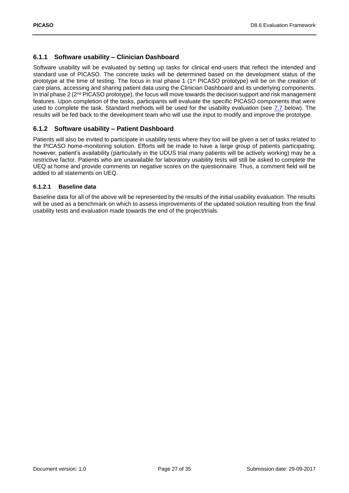#### <span id="page-26-0"></span>**6.1.1 Software usability – Clinician Dashboard**

Software usability will be evaluated by setting up tasks for clinical end-users that reflect the intended and standard use of PICASO. The concrete tasks will be determined based on the development status of the prototype at the time of testing. The focus in trial phase 1 (1st PICASO prototype) will be on the creation of care plans, accessing and sharing patient data using the Clinician Dashboard and its underlying components. In trial phase 2  $(2^{nd}$  PICASO prototype), the focus will move towards the decision support and risk management features. Upon completion of the tasks, participants will evaluate the specific PICASO components that were used to complete the task. Standard methods will be used for the usability evaluation (see [7.7](#page-29-4) below). The results will be fed back to the development team who will use the input to modify and improve the prototype.

#### <span id="page-26-1"></span>**6.1.2 Software usability – Patient Dashboard**

Patients will also be invited to participate in usability tests where they too will be given a set of tasks related to the PICASO home-monitoring solution. Efforts will be made to have a large group of patients participating; however, patient's availability (particularly in the UDUS trial many patients will be actively working) may be a restrictive factor. Patients who are unavailable for laboratory usability tests will still be asked to complete the UEQ at home and provide comments on negative scores on the questionnaire. Thus, a comment field will be added to all statements on UEQ.

#### **6.1.2.1 Baseline data**

Baseline data for all of the above will be represented by the results of the initial usability evaluation. The results will be used as a benchmark on which to assess improvements of the updated solution resulting from the final usability tests and evaluation made towards the end of the project/trials.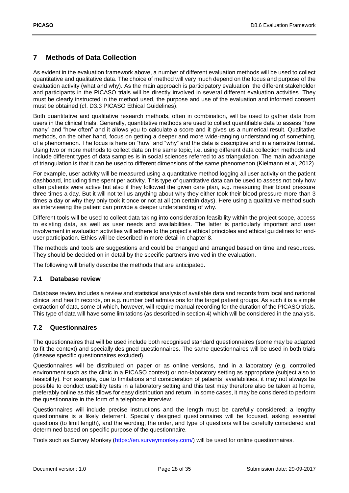### <span id="page-27-3"></span><span id="page-27-0"></span>**7 Methods of Data Collection**

As evident in the evaluation framework above, a number of different evaluation methods will be used to collect quantitative and qualitative data. The choice of method will very much depend on the focus and purpose of the evaluation activity (what and why). As the main approach is participatory evaluation, the different stakeholder and participants in the PICASO trials will be directly involved in several different evaluation activities. They must be clearly instructed in the method used, the purpose and use of the evaluation and informed consent must be obtained (cf. D3.3 PICASO Ethical Guidelines).

Both quantitative and qualitative research methods, often in combination, will be used to gather data from users in the clinical trials. Generally, quantitative methods are used to collect quantifiable data to assess "how many" and "how often" and it allows you to calculate a score and it gives us a numerical result. Qualitative methods, on the other hand, focus on getting a deeper and more wide-ranging understanding of something, of a phenomenon. The focus is here on "how" and "why" and the data is descriptive and in a narrative format. Using two or more methods to collect data on the same topic, i.e. using different data collection methods and include different types of data samples is in social sciences referred to as triangulation. The main advantage of triangulation is that it can be used to different dimensions of the same phenomenon (Kielmann et al, 2012).

For example, user activity will be measured using a quantitative method logging all user activity on the patient dashboard, including time spent per activity. This type of quantitative data can be used to assess not only how often patients were active but also if they followed the given care plan, e.g. measuring their blood pressure three times a day. But it will not tell us anything about why they either took their blood pressure more than 3 times a day or why they only took it once or not at all (on certain days). Here using a qualitative method such as interviewing the patient can provide a deeper understanding of why.

Different tools will be used to collect data taking into consideration feasibility within the project scope, access to existing data, as well as user needs and availabilities. The latter is particularly important and user involvement in evaluation activities will adhere to the project's ethical principles and ethical guidelines for enduser participation. Ethics will be described in more detail in chapter 8.

The methods and tools are suggestions and could be changed and arranged based on time and resources. They should be decided on in detail by the specific partners involved in the evaluation.

The following will briefly describe the methods that are anticipated.

#### <span id="page-27-1"></span>**7.1 Database review**

Database review includes a review and statistical analysis of available data and records from local and national clinical and health records, on e.g. number bed admissions for the target patient groups. As such it is a simple extraction of data, some of which, however, will require manual recording for the duration of the PICASO trials. This type of data will have some limitations (as described in section 4) which will be considered in the analysis.

#### <span id="page-27-2"></span>**7.2 Questionnaires**

The questionnaires that will be used include both recognised standard questionnaires (some may be adapted to fit the context) and specially designed questionnaires. The same questionnaires will be used in both trials (disease specific questionnaires excluded).

Questionnaires will be distributed on paper or as online versions, and in a laboratory (e.g. controlled environment such as the clinic in a PICASO context) or non-laboratory setting as appropriate (subject also to feasibility). For example, due to limitations and consideration of patients' availabilities, it may not always be possible to conduct usability tests in a laboratory setting and this test may therefore also be taken at home, preferably online as this allows for easy distribution and return. In some cases, it may be considered to perform the questionnaire in the form of a telephone interview.

Questionnaires will include precise instructions and the length must be carefully considered; a lengthy questionnaire is a likely deterrent. Specially designed questionnaires will be focused, asking essential questions (to limit length), and the wording, the order, and type of questions will be carefully considered and determined based on specific purpose of the questionnaire.

Tools such as Survey Monkey [\(https://en.surveymonkey.com/\)](https://en.surveymonkey.com/) will be used for online questionnaires.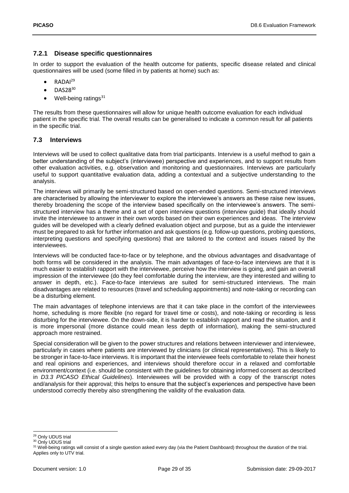### <span id="page-28-0"></span>**7.2.1 Disease specific questionnaires**

In order to support the evaluation of the health outcome for patients, specific disease related and clinical questionnaires will be used (some filled in by patients at home) such as:

- RADAI<sup>29</sup>
- $\bullet$  DAS28<sup>30</sup>
- Well-being ratings $31$

The results from these questionnaires will allow for unique health outcome evaluation for each individual patient in the specific trial. The overall results can be generalised to indicate a common result for all patients in the specific trial.

#### <span id="page-28-1"></span>**7.3 Interviews**

Interviews will be used to collect qualitative data from trial participants. Interview is a useful method to gain a better understanding of the subject's (interviewee) perspective and experiences, and to support results from other evaluation activities, e.g. observation and monitoring and questionnaires. Interviews are particularly useful to support quantitative evaluation data, adding a contextual and a subjective understanding to the analysis.

The interviews will primarily be semi-structured based on open-ended questions. Semi-structured interviews are characterised by allowing the interviewer to explore the interviewee's answers as these raise new issues, thereby broadening the scope of the interview based specifically on the interviewee's answers. The semistructured interview has a theme and a set of open interview questions (interview guide) that ideally should invite the interviewee to answer in their own words based on their own experiences and ideas. The interview guides will be developed with a clearly defined evaluation object and purpose, but as a guide the interviewer must be prepared to ask for further information and ask questions (e.g. follow-up questions, probing questions, interpreting questions and specifying questions) that are tailored to the context and issues raised by the interviewees.

Interviews will be conducted face-to-face or by telephone, and the obvious advantages and disadvantage of both forms will be considered in the analysis. The main advantages of face-to-face interviews are that it is much easier to establish rapport with the interviewee, perceive how the interview is going, and gain an overall impression of the interviewee (do they feel comfortable during the interview, are they interested and willing to answer in depth, etc.). Face-to-face interviews are suited for semi-structured interviews. The main disadvantages are related to resources (travel and scheduling appointments) and note-taking or recording can be a disturbing element.

The main advantages of telephone interviews are that it can take place in the comfort of the interviewees home, scheduling is more flexible (no regard for travel time or costs), and note-taking or recording is less disturbing for the interviewee. On the down-side, it is harder to establish rapport and read the situation, and it is more impersonal (more distance could mean less depth of information), making the semi-structured approach more restrained.

Special consideration will be given to the power structures and relations between interviewer and interviewee, particularly in cases where patients are interviewed by clinicians (or clinical representatives). This is likely to be stronger in face-to-face interviews. It is important that the interviewee feels comfortable to relate their honest and real opinions and experiences, and interviews should therefore occur in a relaxed and comfortable environment/context (i.e. should be consistent with the guidelines for obtaining informed consent as described in *D3.3 PICASO Ethical Guidelines*). Interviewees will be provided with a copy of the transcript notes and/analysis for their approval; this helps to ensure that the subject's experiences and perspective have been understood correctly thereby also strengthening the validity of the evaluation data.

<sup>1</sup> <sup>29</sup> Only UDUS trial

<sup>&</sup>lt;sup>30</sup> Only UDUS trial

<sup>&</sup>lt;sup>31</sup> Well-being ratings will consist of a single question asked every day (via the Patient Dashboard) throughout the duration of the trial. Applies only to UTV trial.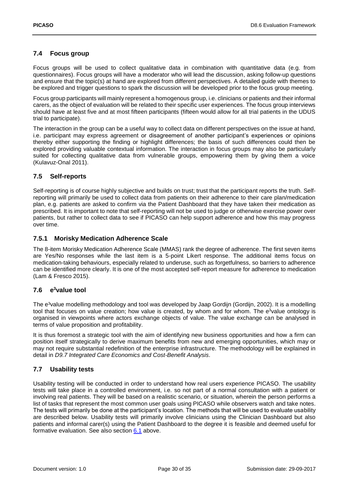### <span id="page-29-0"></span>**7.4 Focus group**

Focus groups will be used to collect qualitative data in combination with quantitative data (e.g. from questionnaires). Focus groups will have a moderator who will lead the discussion, asking follow-up questions and ensure that the topic(s) at hand are explored from different perspectives. A detailed guide with themes to be explored and trigger questions to spark the discussion will be developed prior to the focus group meeting.

Focus group participants will mainly represent a homogenous group, i.e. clinicians or patients and their informal carers, as the object of evaluation will be related to their specific user experiences. The focus group interviews should have at least five and at most fifteen participants (fifteen would allow for all trial patients in the UDUS trial to participate).

The interaction in the group can be a useful way to collect data on different perspectives on the issue at hand, i.e. participant may express agreement or disagreement of another participant's experiences or opinions thereby either supporting the finding or highlight differences; the basis of such differences could then be explored providing valuable contextual information. The interaction in focus groups may also be particularly suited for collecting qualitative data from vulnerable groups, empowering them by giving them a voice (Kulavuz-Onal 2011).

#### <span id="page-29-1"></span>**7.5 Self-reports**

Self-reporting is of course highly subjective and builds on trust; trust that the participant reports the truth. Selfreporting will primarily be used to collect data from patients on their adherence to their care plan/medication plan, e.g. patients are asked to confirm via the Patient Dashboard that they have taken their medication as prescribed. It is important to note that self-reporting will not be used to judge or otherwise exercise power over patients, but rather to collect data to see if PICASO can help support adherence and how this may progress over time.

#### <span id="page-29-5"></span><span id="page-29-2"></span>**7.5.1 Morisky Medication Adherence Scale**

The 8-item Morisky Medication Adherence Scale (MMAS) rank the degree of adherence. The first seven items are Yes/No responses while the last item is a 5-point Likert response. The additional items focus on medication-taking behaviours, especially related to underuse, such as forgetfulness, so barriers to adherence can be identified more clearly. It is one of the most accepted self-report measure for adherence to medication (Lam & Fresco 2015).

#### <span id="page-29-3"></span>**7.6 e <sup>3</sup>value tool**

The e <sup>3</sup>value modelling methodology and tool was developed by Jaap Gordijn (Gordijn, 2002). It is a modelling tool that focuses on value creation; how value is created, by whom and for whom. The e<sup>3</sup>value ontology is organised in viewpoints where actors exchange objects of value. The value exchange can be analysed in terms of value proposition and profitability.

It is thus foremost a strategic tool with the aim of identifying new business opportunities and how a firm can position itself strategically to derive maximum benefits from new and emerging opportunities, which may or may not require substantial redefinition of the enterprise infrastructure. The methodology will be explained in detail in *D9.7 Integrated Care Economics and Cost-Benefit Analysis*.

#### <span id="page-29-4"></span>**7.7 Usability tests**

Usability testing will be conducted in order to understand how real users experience PICASO. The usability tests will take place in a controlled environment, i.e. so not part of a normal consultation with a patient or involving real patients. They will be based on a realistic scenario, or situation, wherein the person performs a list of tasks that represent the most common user goals using PICASO while observers watch and take notes. The tests will primarily be done at the participant's location. The methods that will be used to evaluate usability are described below. Usability tests will primarily involve clinicians using the Clinician Dashboard but also patients and informal carer(s) using the Patient Dashboard to the degree it is feasible and deemed useful for formative evaluation. See also section [6.1](#page-25-0) above.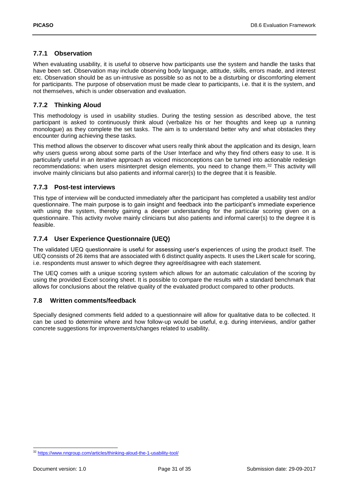#### <span id="page-30-0"></span>**7.7.1 Observation**

When evaluating usability, it is useful to observe how participants use the system and handle the tasks that have been set. Observation may include observing body language, attitude, skills, errors made, and interest etc. Observation should be as un-intrusive as possible so as not to be a disturbing or discomforting element for participants. The purpose of observation must be made clear to participants, i.e. that it is the system, and not themselves, which is under observation and evaluation.

#### <span id="page-30-1"></span>**7.7.2 Thinking Aloud**

This methodology is used in usability studies. During the testing session as described above, the test participant is asked to continuously think aloud (verbalize his or her thoughts and keep up a running monologue) as they complete the set tasks. The aim is to understand better why and what obstacles they encounter during achieving these tasks.

This method allows the observer to discover what users really think about the application and its design, learn why users guess wrong about some parts of the User Interface and why they find others easy to use. It is particularly useful in an iterative approach as voiced misconceptions can be turned into actionable redesign recommendations: when users misinterpret design elements, you need to change them.<sup>32</sup> This activity will involve mainly clinicians but also patients and informal carer(s) to the degree that it is feasible.

#### <span id="page-30-2"></span>**7.7.3 Post-test interviews**

This type of interview will be conducted immediately after the participant has completed a usability test and/or questionnaire. The main purpose is to gain insight and feedback into the participant's immediate experience with using the system, thereby gaining a deeper understanding for the particular scoring given on a questionnaire. This activity nvolve mainly clinicians but also patients and informal carer(s) to the degree it is feasible.

#### <span id="page-30-3"></span>**7.7.4 User Experience Questionnaire (UEQ)**

The validated UEQ questionnaire is useful for assessing user's experiences of using the product itself. The UEQ consists of 26 items that are associated with 6 distinct quality aspects. It uses the Likert scale for scoring, i.e. respondents must answer to which degree they agree/disagree with each statement.

The UEQ comes with a unique scoring system which allows for an automatic calculation of the scoring by using the provided Excel scoring sheet. It is possible to compare the results with a standard benchmark that allows for conclusions about the relative quality of the evaluated product compared to other products.

#### <span id="page-30-4"></span>**7.8 Written comments/feedback**

Specially designed comments field added to a questionnaire will allow for qualitative data to be collected. It can be used to determine where and how follow-up would be useful, e.g. during interviews, and/or gather concrete suggestions for improvements/changes related to usability.

-

<sup>32</sup> <https://www.nngroup.com/articles/thinking-aloud-the-1-usability-tool/>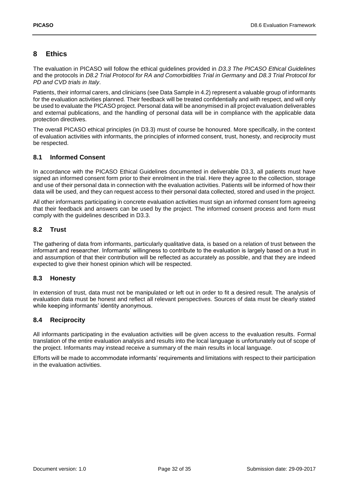### <span id="page-31-0"></span>**8 Ethics**

The evaluation in PICASO will follow the ethical guidelines provided in *D3.3 The PICASO Ethical Guidelines* and the protocols in *D8.2 Trial Protocol for RA and Comorbidities Trial in Germany* and *D8.3 Trial Protocol for PD and CVD trials in Italy*.

Patients, their informal carers, and clinicians (see Data Sample in 4.2) represent a valuable group of informants for the evaluation activities planned. Their feedback will be treated confidentially and with respect, and will only be used to evaluate the PICASO project. Personal data will be anonymised in all project evaluation deliverables and external publications, and the handling of personal data will be in compliance with the applicable data protection directives.

The overall PICASO ethical principles (in D3.3) must of course be honoured. More specifically, in the context of evaluation activities with informants, the principles of informed consent, trust, honesty, and reciprocity must be respected.

#### <span id="page-31-1"></span>**8.1 Informed Consent**

In accordance with the PICASO Ethical Guidelines documented in deliverable D3.3, all patients must have signed an informed consent form prior to their enrolment in the trial. Here they agree to the collection, storage and use of their personal data in connection with the evaluation activities. Patients will be informed of how their data will be used, and they can request access to their personal data collected, stored and used in the project.

All other informants participating in concrete evaluation activities must sign an informed consent form agreeing that their feedback and answers can be used by the project. The informed consent process and form must comply with the guidelines described in D3.3.

#### <span id="page-31-2"></span>**8.2 Trust**

The gathering of data from informants, particularly qualitative data, is based on a relation of trust between the informant and researcher. Informants' willingness to contribute to the evaluation is largely based on a trust in and assumption of that their contribution will be reflected as accurately as possible, and that they are indeed expected to give their honest opinion which will be respected.

#### <span id="page-31-3"></span>**8.3 Honesty**

In extension of trust, data must not be manipulated or left out in order to fit a desired result. The analysis of evaluation data must be honest and reflect all relevant perspectives. Sources of data must be clearly stated while keeping informants' identity anonymous.

#### <span id="page-31-4"></span>**8.4 Reciprocity**

All informants participating in the evaluation activities will be given access to the evaluation results. Formal translation of the entire evaluation analysis and results into the local language is unfortunately out of scope of the project. Informants may instead receive a summary of the main results in local language.

Efforts will be made to accommodate informants' requirements and limitations with respect to their participation in the evaluation activities.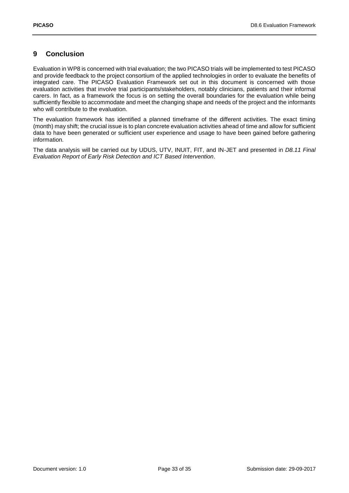### <span id="page-32-0"></span>**9 Conclusion**

Evaluation in WP8 is concerned with trial evaluation; the two PICASO trials will be implemented to test PICASO and provide feedback to the project consortium of the applied technologies in order to evaluate the benefits of integrated care. The PICASO Evaluation Framework set out in this document is concerned with those evaluation activities that involve trial participants/stakeholders, notably clinicians, patients and their informal carers. In fact, as a framework the focus is on setting the overall boundaries for the evaluation while being sufficiently flexible to accommodate and meet the changing shape and needs of the project and the informants who will contribute to the evaluation.

The evaluation framework has identified a planned timeframe of the different activities. The exact timing (month) may shift; the crucial issue is to plan concrete evaluation activities ahead of time and allow for sufficient data to have been generated or sufficient user experience and usage to have been gained before gathering information.

The data analysis will be carried out by UDUS, UTV, INUIT, FIT, and IN-JET and presented in *D8.11 Final Evaluation Report of Early Risk Detection and ICT Based Intervention*.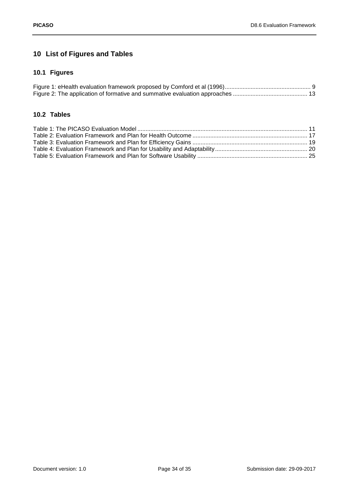## <span id="page-33-0"></span>**10 List of Figures and Tables**

## <span id="page-33-1"></span>**10.1 Figures**

### <span id="page-33-2"></span>**10.2 Tables**